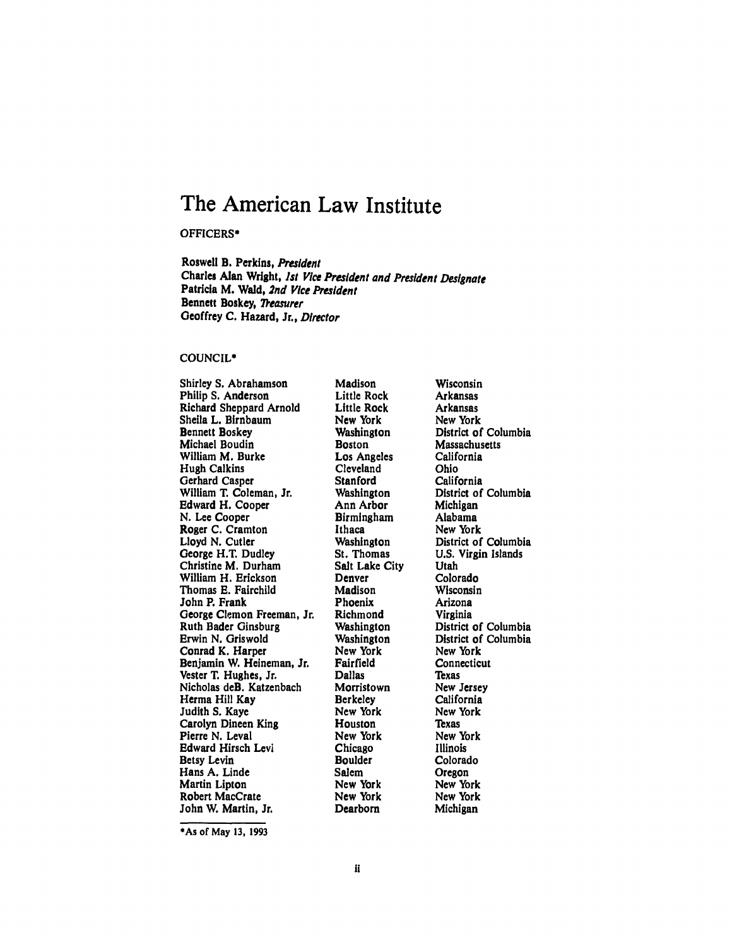# **The American Law Institute**

OFFICERS\*

Roswell B. Perkins, President Charles **Alan** Wright, *Ist* Vice President and President Designate Patricia M. Wald, *2nd Vice President* Bennett Boskey, *Reasurer* Geoffrey **C.** Hazard, Jr., *Director*

## **COUNCIL\***

Shirley **S.** Abrahamson Philip **S.** Anderson Richard Sheppard Arnold Sheila L. Birnbaum Bennett Boskey Michael Boudin William M. Burke Hugh Calkins Gerhard Casper William T. Coleman, Jr. Edward H. Cooper **N.** Lee Cooper Roger **C.** Cramton Lloyd **N.** Cutler George H.T. Dudley Christine M. Durham William H. Erickson Thomas **E.** Fairchild John P. Frank George Clemon Freeman, Jr. Ruth Bader Ginsburg Erwin **N.** Griswold Conrad K. Harper Benjamin W. Heineman, Jr. Vester T. Hughes, Jr. Nicholas deB. Katzenbach Herma Hill Kay Judith **S.** Kaye Carolyn Dineen King Pierre **N.** Leval Edward Hirsch Levi Betsy Levin Hans **A.** Linde Martin Lipton Robert MacCrate John W. Martin, Jr.

Madison Little Rock Little Rock New York Washington Boston Los Angeles Cleveland **Stanford** Washington Ann Arbor Birmingham Ithaca Washington St. Thomas Salt Lake City Denver Madison Phoenix Richmond Washington Washington New York Fairfield Dallas Morristown **Berkeley** New York Houston New York Chicago Boulder Salem New York New York Dearborn

Wisconsin Arkansas Arkansas New York District of Columbia Massachusetts California Ohio California District of Columbia Michigan Alabama New York District of Columbia **U.S.** Virgin Islands Utah Colorado Wisconsin Arizona Virginia District of Columbia District of Columbia New York **Connecticut Texas** New Jersey California New York **Texas** New York Illinois Colorado Oregon New York New York Michigan

**<sup>\*</sup>As** of May **13, 1993**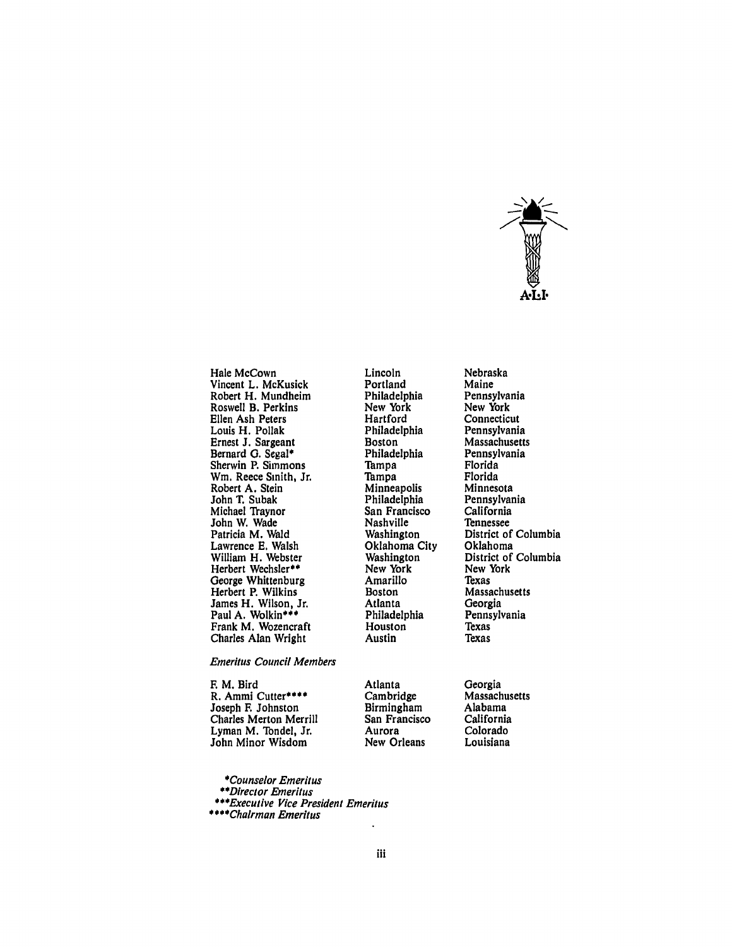

Hale McCown Vincent L. McKusick Robert H. Mundheim Roswell B. Perkins Ellen Ash Peters Louis H. Pollak Ernest **J.** Sargeant Bernard **0.** Segal\* Sherwin P. Simmons Win. Reece Smith, Jr. Robert **A.** Stein John T. Subak Michael Traynor John W. Wade Patricia M. Wald Lawrence **E.** Walsh William H. Webster Herbert Wechsler\*\* George Whittenburg Herbert P. Wilkins James H. Wilson, Jr. Paul A. Wolkin\*\*\* Frank M. Wozencraft Charles Alan Wright

Emeritus Council Members

F. M. Bird R. Ammi Cutter\*\*\*\* Joseph F. Johnston Charles Merton Merrill Lyman M. Tondel, Jr. John Minor Wisdom

Lincoln Portland Philadelphia New York Hartford Philadelphia Boston Philadelphia **Tampa** Tampa **Minneapolis** Philadelphia San Francisco Nashville Washington Oklahoma City Washington New York Amarillo Boston Atlanta Philadelphia Houston Austin

Nebraska Maine Pennsylvania New York Connecticut Pennsylvania Massachusetts Pennsylvania Florida Florida Minnesota Pennsylvania California Tennessee District of Columbia Oklahoma District of Columbia New York Texas Massachusetts Georgia Pennsylvania **Texas** Texas

Georgia Massachusetts Alabama California Colorado Louisiana

*\*Counselor* Emeritus

*\*\*Director* Emeritus

\*\*\*Executive Vice President Emeritus

\*\*\*\*Chairman Emeritus

Atlanta Cambridge Birmingham San Francisco Aurora New Orleans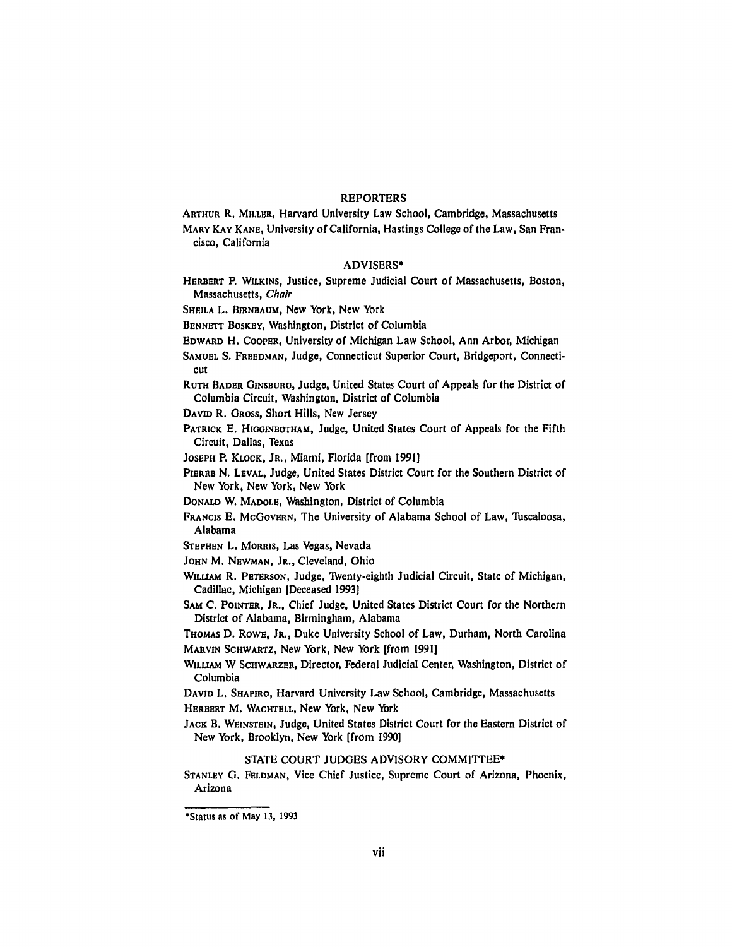### REPORTERS

**ARTHUR** R. **MILLER,** Harvard University Law School, Cambridge, Massachusetts **MARY KAY KANE,** University of California, Hastings College of the Law, San Francisco, California

#### ADVISERS\*

HERBERT P. WILKINS, Justice, Supreme Judicial Court of Massachusetts, Boston, Massachusetts, *Chair*

**SHEILA** L. BIRNEAUM, New York, New York

**BENNETT** BOSKEY, Washington, District of Columbia

**EDWARD** H. COOPER, University of Michigan Law School, Ann Arbor, Michigan

**SAMUEL** S. FREEDMAN, Judge, Connecticut Superior Court, Bridgeport, Connecticut

**RUTH** BADER **GINSBURG,** Judge, United States Court of Appeals for the District of Columbia Circuit, Washington, District of Columbia

**DAVID** R. GROSS, Short Hills, New Jersey

PATRICK E. **HIOGINBOTHAM,** Judge, United States Court of Appeals for the Fifth Circuit, Dallas, Texas

**JOSEPH** P. KLOCK, JR., Miami, Florida [from 1991]

- **PIERRE** N. LEVAL, Judge, United States District Court for the Southern District of New York, New York, New York
- **DONALD** W. MADOLE, Washington, District of Columbia
- FRANCIS E. McGOVERN, The University of Alabama School of Law, Tuscaloosa, Alabama
- **STEPHEN** L. **MORRIS,** Las Vegas, Nevada
- **JOHN** M. **NEWMAN,** JR., Cleveland, Ohio
- WILLIAM R. PETERSON, Judge, TWenty-eighth Judicial Circuit, State of Michigan, Cadillac, Michigan [Deceased 1993]
- **SAM C.** POINTER, JR., Chief Judge, United States District Court for the Northern District of Alabama, Birmingham, Alabama

THOMAS D. ROWE, JR., Duke University School of Law, Durham, North Carolina MARVIN SCHWARTZ, New York, New York [from 1991]

**WILLIAM** W SCHWARZER, Director, Federal Judicial Center, Washington, District of Columbia

DAVID L. SHAPIRO, Harvard University Law School, Cambridge, Massachusetts HERBERT M. WACHTELL, New York, New York

**JACK** B. **WEINSTEIN,** Judge, United States District Court for the Eastern District of New York, Brooklyn, New York [from 1990]

# STATE COURT **JUDGES** ADVISORY COMMITTEE\*

**STANLEY G. FELDMAN,** Vice Chief Justice, Supreme Court of Arizona, Phoenix, Arizona

<sup>\*</sup>Status as of May **13, 1993**